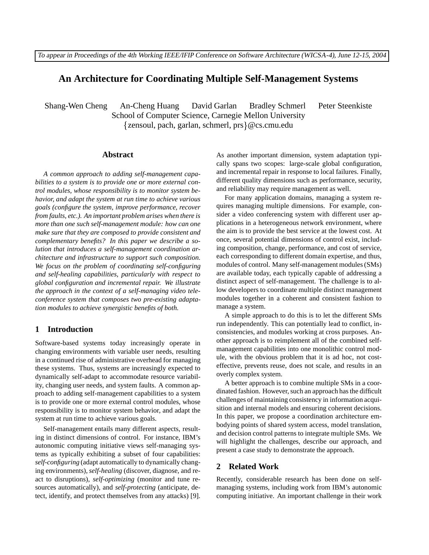# **An Architecture for Coordinating Multiple Self-Management Systems**

Shang-Wen Cheng An-Cheng Huang David Garlan Bradley Schmerl Peter Steenkiste School of Computer Science, Carnegie Mellon University zensoul, pach, garlan, schmerl, prs @cs.cmu.edu

#### **Abstract**

*A common approach to adding self-management capabilities to a system is to provide one or more external control modules, whose responsibility is to monitor system behavior, and adapt the system at run time to achieve various goals (configure the system, improve performance, recover from faults, etc.). An important problem arises when there is more than one such self-management module: how can one make sure that they are composed to provide consistent and complementary benefits? In this paper we describe a solution that introduces a self-management coordination architecture and infrastructure to support such composition. We focus on the problem of coordinating self-configuring and self-healing capabilities, particularly with respect to global configuration and incremental repair. We illustrate the approach in the context of a self-managing video teleconference system that composes two pre-existing adaptation modules to achieve synergistic benefits of both.*

## **1 Introduction**

Software-based systems today increasingly operate in changing environments with variable user needs, resulting in a continued rise of administrative overhead for managing these systems. Thus, systems are increasingly expected to dynamically self-adapt to accommodate resource variability, changing user needs, and system faults. A common approach to adding self-management capabilities to a system is to provide one or more external control modules, whose responsibility is to monitor system behavior, and adapt the system at run time to achieve various goals.

Self-management entails many different aspects, resulting in distinct dimensions of control. For instance, IBM's autonomic computing initiative views self-managing systems as typically exhibiting a subset of four capabilities: *self-configuring* (adapt automatically to dynamically changing environments), *self-healing* (discover, diagnose, and react to disruptions), *self-optimizing* (monitor and tune resources automatically), and *self-protecting* (anticipate, detect, identify, and protect themselves from any attacks) [9].

As another important dimension, system adaptation typically spans two scopes: large-scale global configuration, and incremental repair in response to local failures. Finally, different quality dimensions such as performance, security, and reliability may require management as well.

For many application domains, managing a system requires managing multiple dimensions. For example, consider a video conferencing system with different user applications in a heterogeneous network environment, where the aim is to provide the best service at the lowest cost. At once, several potential dimensions of control exist, including composition, change, performance, and cost of service, each corresponding to different domain expertise, and thus, modules of control. Many self-management modules(SMs) are available today, each typically capable of addressing a distinct aspect of self-management. The challenge is to allow developers to coordinate multiple distinct management modules together in a coherent and consistent fashion to manage a system.

A simple approach to do this is to let the different SMs run independently. This can potentially lead to conflict, inconsistencies, and modules working at cross purposes. Another approach is to reimplement all of the combined selfmanagement capabilities into one monolithic control module, with the obvious problem that it is ad hoc, not costeffective, prevents reuse, does not scale, and results in an overly complex system.

A better approach is to combine multiple SMs in a coordinated fashion. However, such an approach has the difficult challenges of maintaining consistency in information acquisition and internal models and ensuring coherent decisions. In this paper, we propose a coordination architecture embodying points of shared system access, model translation, and decision control patterns to integrate multiple SMs. We will highlight the challenges, describe our approach, and present a case study to demonstrate the approach.

# **2 Related Work**

Recently, considerable research has been done on selfmanaging systems, including work from IBM's autonomic computing initiative. An important challenge in their work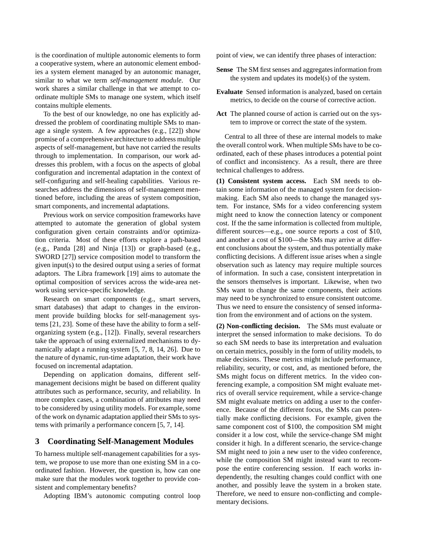is the coordination of multiple autonomic elements to form a cooperative system, where an autonomic element embodies a system element managed by an autonomic manager, similar to what we term *self-management module*. Our work shares a similar challenge in that we attempt to coordinate multiple SMs to manage one system, which itself contains multiple elements.

To the best of our knowledge, no one has explicitly addressed the problem of coordinating multiple SMs to manage a single system. A few approaches (e.g., [22]) show promise of a comprehensive architecture to address multiple aspects of self-management, but have not carried the results through to implementation. In comparison, our work addresses this problem, with a focus on the aspects of global configuration and incremental adaptation in the context of self-configuring and self-healing capabilities. Various researches address the dimensions of self-management mentioned before, including the areas of system composition, smart components, and incremental adaptations.

Previous work on service composition frameworks have attempted to automate the generation of global system configuration given certain constraints and/or optimization criteria. Most of these efforts explore a path-based (e.g., Panda [28] and Ninja [13]) or graph-based (e.g., SWORD [27]) service composition model to transform the given input(s) to the desired output using a series of format adaptors. The Libra framework [19] aims to automate the optimal composition of services across the wide-area network using service-specific knowledge.

Research on smart components (e.g., smart servers, smart databases) that adapt to changes in the environment provide building blocks for self-management systems [21, 23]. Some of these have the ability to form a selforganizing system (e.g., [12]). Finally, several researchers take the approach of using externalized mechanisms to dynamically adapt a running system [5, 7, 8, 14, 26]. Due to the nature of dynamic, run-time adaptation, their work have focused on incremental adaptation.

Depending on application domains, different selfmanagement decisions might be based on different quality attributes such as performance, security, and reliability. In more complex cases, a combination of attributes may need to be considered by using utility models. For example, some of the work on dynamic adaptation applied their SMs to systems with primarily a performance concern [5, 7, 14].

#### **3 Coordinating Self-Management Modules**

To harness multiple self-management capabilities for a system, we propose to use more than one existing SM in a coordinated fashion. However, the question is, how can one make sure that the modules work together to provide consistent and complementary benefits?

Adopting IBM's autonomic computing control loop

point of view, we can identify three phases of interaction:

- Sense The SM first senses and aggregates information from the system and updates its model(s) of the system.
- **Evaluate** Sensed information is analyzed, based on certain metrics, to decide on the course of corrective action.
- **Act** The planned course of action is carried out on the system to improve or correct the state of the system.

Central to all three of these are internal models to make the overall control work. When multiple SMs have to be coordinated, each of these phases introduces a potential point of conflict and inconsistency. As a result, there are three technical challenges to address.

**(1) Consistent system access.** Each SM needs to obtain some information of the managed system for decisionmaking. Each SM also needs to change the managed system. For instance, SMs for a video conferencing system might need to know the connection latency or component cost. If the the same information is collected from multiple, different sources—e.g., one source reports a cost of \$10, and another a cost of \$100—the SMs may arrive at different conclusions about the system, and thus potentially make conflicting decisions. A different issue arises when a single observation such as latency may require multiple sources of information. In such a case, consistent interpretation in the sensors themselves is important. Likewise, when two SMs want to change the same components, their actions may need to be synchronized to ensure consistent outcome. Thus we need to ensure the consistency of sensed information from the environment and of actions on the system.

**(2) Non-conflicting decision.** The SMs must evaluate or interpret the sensed information to make decisions. To do so each SM needs to base its interpretation and evaluation on certain metrics, possibly in the form of utility models, to make decisions. These metrics might include performance, reliability, security, or cost, and, as mentioned before, the SMs might focus on different metrics. In the video conferencing example, a composition SM might evaluate metrics of overall service requirement, while a service-change SM might evaluate metrics on adding a user to the conference. Because of the different focus, the SMs can potentially make conflicting decisions. For example, given the same component cost of \$100, the composition SM might consider it a low cost, while the service-change SM might consider it high. In a different scenario, the service-change SM might need to join a new user to the video conference, while the composition SM might instead want to recompose the entire conferencing session. If each works independently, the resulting changes could conflict with one another, and possibly leave the system in a broken state. Therefore, we need to ensure non-conflicting and complementary decisions.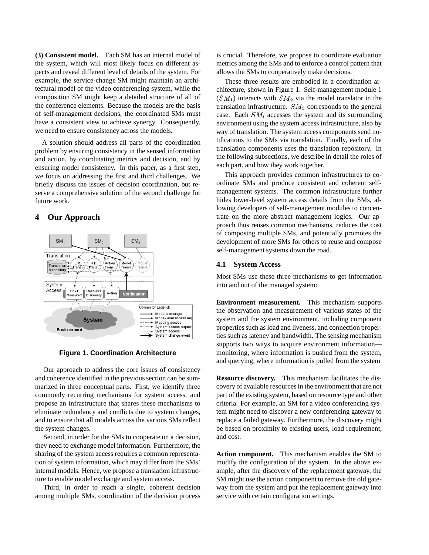**(3) Consistent model.** Each SM has an internal model of the system, which will most likely focus on different aspects and reveal different level of details of the system. For example, the service-change SM might maintain an architectural model of the video conferencing system, while the composition SM might keep a detailed structure of all of the conference elements. Because the models are the basis of self-management decisions, the coordinated SMs must have a consistent view to achieve synergy. Consequently, we need to ensure consistency across the models.

A solution should address all parts of the coordination problem by ensuring consistency in the sensed information and action, by coordinating metrics and decision, and by ensuring model consistency. In this paper, as a first step, we focus on addressing the first and third challenges. We briefly discuss the issues of decision coordination, but reserve a comprehensive solution of the second challenge for future work.

# **4 Our Approach**



**Figure 1. Coordination Architecture**

Our approach to address the core issues of consistency and coherence identified in the previous section can be summarized in three conceptual parts. First, we identify three commonly recurring mechanisms for system access, and propose an infrastructure that shares these mechanisms to eliminate redundancy and conflicts due to system changes, and to ensure that all models across the various SMs reflect the system changes.

Second, in order for the SMs to cooperate on a decision, they need to exchange model information. Furthermore, the sharing of the system access requires a common representation of system information, which may differ from the SMs' internal models. Hence, we propose a translation infrastructure to enable model exchange and system access.

Third, in order to reach a single, coherent decision among multiple SMs, coordination of the decision process is crucial. Therefore, we propose to coordinate evaluation metrics among the SMs and to enforce a control pattern that allows the SMs to cooperatively make decisions.

These three results are embodied in a coordination architecture, shown in Figure 1. Self-management module 1  $(SM_1)$  interacts with  $SM_2$  via the model translator in the translation infrastructure.  $SM_3$  corresponds to the general case. Each  $SM_i$  accesses the system and its surrounding environment using the system access infrastructure, also by way of translation. The system access components send notifications to the SMs via translation. Finally, each of the translation components uses the translation repository. In the following subsections, we describe in detail the roles of each part, and how they work together.

This approach provides common infrastructures to coordinate SMs and produce consistent and coherent selfmanagement systems. The common infrastructure further hides lower-level system access details from the SMs, allowing developers of self-management modules to concentrate on the more abstract management logics. Our approach thus reuses common mechanisms, reduces the cost of composing multiple SMs, and potentially promotes the development of more SMs for others to reuse and compose self-management systems down the road.

#### **4.1 System Access**

Most SMs use these three mechanisms to get information into and out of the managed system:

**Environment measurement.** This mechanism supports the observation and measurement of various states of the system and the system environment, including component properties such as load and liveness, and connection properties such as latency and bandwidth. The sensing mechanism supports two ways to acquire environment information monitoring, where information is pushed from the system, and querying, where information is pulled from the system

**Resource discovery.** This mechanism facilitates the discovery of available resources in the environment that are not part of the existing system, based on resource type and other criteria. For example, an SM for a video conferencing system might need to discover a new conferencing gateway to replace a failed gateway. Furthermore, the discovery might be based on proximity to existing users, load requirement, and cost.

**Action component.** This mechanism enables the SM to modify the configuration of the system. In the above example, after the discovery of the replacement gateway, the SM might use the action component to remove the old gateway from the system and put the replacement gateway into service with certain configuration settings.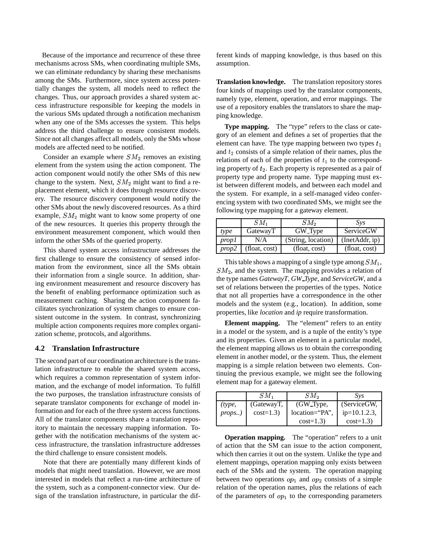Because of the importance and recurrence of these three mechanisms across SMs, when coordinating multiple SMs, we can eliminate redundancy by sharing these mechanisms among the SMs. Furthermore, since system access potentially changes the system, all models need to reflect the changes. Thus, our approach provides a shared system access infrastructure responsible for keeping the models in the various SMs updated through a notification mechanism when any one of the SMs accesses the system. This helps address the third challenge to ensure consistent models. Since not all changes affect all models, only the SMs whose models are affected need to be notified.

Consider an example where  $SM<sub>2</sub>$  removes an existing element from the system using the action component. The action component would notify the other SMs of this new change to the system. Next,  $SM_2$  might want to find a replacement element, which it does through resource discovery. The resource discovery component would notify the other SMs about the newly discovered resources. As a third example,  $SM_2$  might want to know some property of one of the new resources. It queries this property through the environment measurement component, which would then inform the other SMs of the queried property.

This shared system access infrastructure addresses the first challenge to ensure the consistency of sensed information from the environment, since all the SMs obtain their information from a single source. In addition, sharing environment measurement and resource discovery has the benefit of enabling performance optimization such as measurement caching. Sharing the action component facilitates synchronization of system changes to ensure consistent outcome in the system. In contrast, synchronizing multiple action components requires more complex organization scheme, protocols, and algorithms.

#### **4.2 Translation Infrastructure**

The second part of our coordination architecture is the translation infrastructure to enable the shared system access, which requires a common representation of system information, and the exchange of model information. To fulfill the two purposes, the translation infrastructure consists of separate translator components for exchange of model information and for each of the three system access functions. All of the translator components share a translation repository to maintain the necessary mapping information. Together with the notification mechanisms of the system access infrastructure, the translation infrastructure addresses the third challenge to ensure consistent models.

Note that there are potentially many different kinds of models that might need translation. However, we are most interested in models that reflect a run-time architecture of the system, such as a component-connector view. Our design of the translation infrastructure, in particular the different kinds of mapping knowledge, is thus based on this assumption.

**Translation knowledge.** The translation repository stores four kinds of mappings used by the translator components, namely type, element, operation, and error mappings. The use of a repository enables the translators to share the mapping knowledge.

**Type mapping.** The "type" refers to the class or category of an element and defines a set of properties that the element can have. The type mapping between two types  $t_1$ and  $t_2$  consists of a simple relation of their names, plus the relations of each of the properties of  $t_1$  to the corresponding property of  $t_2$ . Each property is represented as a pair of property type and property name. Type mapping must exist between different models, and between each model and the system. For example, in a self-managed video conferencing system with two coordinated SMs, we might see the following type mapping for a gateway element.

|       | $SM_1$        | $SM_2$             | Svs            |
|-------|---------------|--------------------|----------------|
| type  | GatewayT      | GW Type            | ServiceGW      |
| prop1 | N/A           | (String, location) | (InetAddr, ip) |
| prop2 | (float, cost) | (float, cost)      | (float, cost)  |

This table shows a mapping of a single type among  $SM_1$ ,  $SM<sub>2</sub>$ , and the system. The mapping provides a relation of the type names *GatewayT*, *GW Type*, and *ServiceGW*, and a set of relations between the properties of the types. Notice that not all properties have a correspondence in the other models and the system (e.g., location). In addition, some properties, like *location* and *ip* require transformation.

**Element mapping.** The "element" refers to an entity in a model or the system, and is a tuple of the entity's type and its properties. Given an element in a particular model, the element mapping allows us to obtain the corresponding element in another model, or the system. Thus, the element mapping is a simple relation between two elements. Continuing the previous example, we might see the following element map for a gateway element.

|        | SM1        | SM2            | $Sv_s$          |
|--------|------------|----------------|-----------------|
| (type, | (GatewayT, | (GW_Type,      | (ServiceGW,     |
| props) | $cost=1.3$ | location="PA", | $ip=10.1.2.3$ , |
|        |            | $cost=1.3$     | $cost=1.3$      |

**Operation mapping.** The "operation" refers to a unit of action that the SM can issue to the action component, which then carries it out on the system. Unlike the type and element mappings, operation mapping only exists between each of the SMs and the system. The operation mapping between two operations  $op_1$  and  $op_2$  consists of a simple relation of the operation names, plus the relations of each of the parameters of  $op_1$  to the corresponding parameters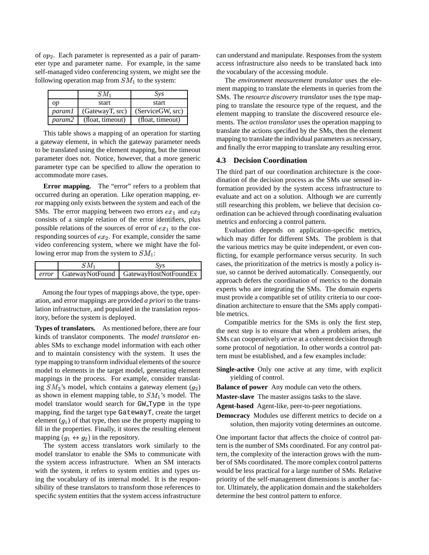of  $op_2$ . Each parameter is represented as a pair of parameter type and parameter name. For example, in the same self-managed video conferencing system, we might see the following operation map from  $SM<sub>1</sub>$  to the system:

|        | $SM_1$           | Sys              |
|--------|------------------|------------------|
| op     | start            | start            |
| param1 | (GatewayT, src)  | (ServiceGW, src) |
| param2 | (float, timeout) | (float, timeout) |

This table shows a mapping of an operation for starting a gateway element, in which the gateway parameter needs to be translated using the element mapping, but the timeout parameter does not. Notice, however, that a more generic parameter type can be specified to allow the operation to accommodate more cases.

**Error mapping.** The "error" refers to a problem that occurred during an operation. Like operation mapping, error mapping only exists between the system and each of the SMs. The error mapping between two errors  $ex_1$  and  $ex_2$ consists of a simple relation of the error identifiers, plus possible relations of the sources of error of  $ex_1$  to the corresponding sources of  $ex_2$ . For example, consider the same video conferencing system, where we might have the following error map from the system to  $SM_1$ :

| $SM_1$ | $S\mathcal{V}S$                                 |
|--------|-------------------------------------------------|
|        | error   GatewayNotFound   GatewayHostNotFoundEx |

Among the four types of mappings above, the type, operation, and error mappings are provided *a priori* to the translation infrastructure, and populated in the translation repository, before the system is deployed.

**Types of translators.** As mentioned before, there are four kinds of translator components. The *model translator* enables SMs to exchange model information with each other and to maintain consistency with the system. It uses the type mapping to transform individual elements of the source model to elements in the target model, generating element mappings in the process. For example, consider translating  $SM_2$ 's model, which contains a gateway element  $(q_2)$ as shown in element mapping table, to  $SM<sub>1</sub>$ 's model. The model translator would search for GW Type in the type mapping, find the target type GatewayT, create the target element  $(q_1)$  of that type, then use the property mapping to fill in the properties. Finally, it stores the resulting element mapping  $(g_1 \leftrightarrow g_2)$  in the repository.

The system access translators work similarly to the model translator to enable the SMs to communicate with the system access infrastructure. When an SM interacts with the system, it refers to system entities and types using the vocabulary of its internal model. It is the responsibility of these translators to transform those references to specific system entities that the system access infrastructure can understand and manipulate. Responses from the system access infrastructure also needs to be translated back into the vocabulary of the accessing module.

The *environment measurement translator* uses the element mapping to translate the elements in queries from the SMs. The *resource discovery translator* uses the type mapping to translate the resource type of the request, and the element mapping to translate the discovered resource elements. The *action translator* uses the operation mapping to translate the actions specified by the SMs, then the element mapping to translate the individual parameters as necessary, and finally the error mapping to translate any resulting error.

### **4.3 Decision Coordination**

The third part of our coordination architecture is the coordination of the decision process as the SMs use sensed information provided by the system access infrastructure to evaluate and act on a solution. Although we are currently still researching this problem, we believe that decision coordination can be achieved through coordinating evaluation metrics and enforcing a control pattern.

Evaluation depends on application-specific metrics, which may differ for different SMs. The problem is that the various metrics may be quite independent, or even conflicting, for example performance versus security. In such cases, the prioritization of the metrics is mostly a policy issue, so cannot be derived automatically. Consequently, our approach defers the coordination of metrics to the domain experts who are integrating the SMs. The domain experts must provide a compatible set of utility criteria to our coordination architecture to ensure that the SMs apply compatible metrics.

Compatible metrics for the SMs is only the first step, the next step is to ensure that when a problem arises, the SMs can cooperatively arrive at a coherent decision through some protocol of negotiation. In other words a control pattern must be established, and a few examples include:

**Single-active** Only one active at any time, with explicit yielding of control.

**Balance of power** Any module can veto the others.

**Master-slave** The master assigns tasks to the slave.

**Agent-based** Agent-like, peer-to-peer negotiations.

**Democracy** Modules use different metrics to decide on a solution, then majority voting determines an outcome.

One important factor that affects the choice of control pattern is the number of SMs coordinated. For any control pattern, the complexity of the interaction grows with the number of SMs coordinated. The more complex control patterns would be less practical for a large number of SMs. Relative priority of the self-management dimensions is another factor. Ultimately, the application domain and the stakeholders determine the best control pattern to enforce.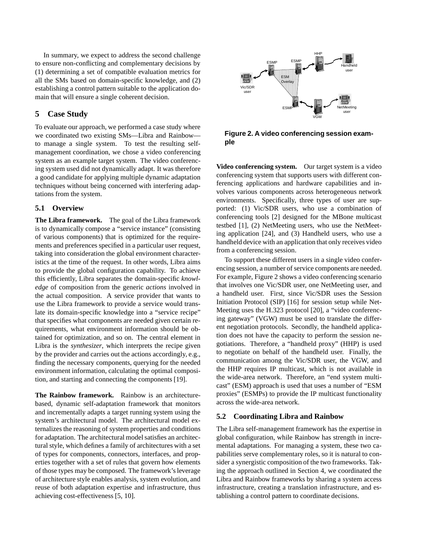In summary, we expect to address the second challenge to ensure non-conflicting and complementary decisions by (1) determining a set of compatible evaluation metrics for all the SMs based on domain-specific knowledge, and (2) establishing a control pattern suitable to the application domain that will ensure a single coherent decision.

# **5 Case Study**

To evaluate our approach, we performed a case study where we coordinated two existing SMs—Libra and Rainbow to manage a single system. To test the resulting selfmanagement coordination, we chose a video conferencing system as an example target system. The video conferencing system used did not dynamically adapt. It was therefore a good candidate for applying multiple dynamic adaptation techniques without being concerned with interfering adaptations from the system.

#### **5.1 Overview**

**The Libra framework.** The goal of the Libra framework is to dynamically compose a "service instance" (consisting of various components) that is optimized for the requirements and preferences specified in a particular user request, taking into consideration the global environment characteristics at the time of the request. In other words, Libra aims to provide the global configuration capability. To achieve this efficiently, Libra separates the domain-specific *knowledge* of composition from the generic *actions* involved in the actual composition. A service provider that wants to use the Libra framework to provide a service would translate its domain-specific knowledge into a "service recipe" that specifies what components are needed given certain requirements, what environment information should be obtained for optimization, and so on. The central element in Libra is the *synthesizer*, which interprets the recipe given by the provider and carries out the actions accordingly, e.g., finding the necessary components, querying for the needed environment information, calculating the optimal composition, and starting and connecting the components [19].

**The Rainbow framework.** Rainbow is an architecturebased, dynamic self-adaptation framework that monitors and incrementally adapts a target running system using the system's architectural model. The architectural model externalizes the reasoning of system properties and conditions for adaptation. The architectural model satisfies an architectural style, which defines a family of architectures with a set of types for components, connectors, interfaces, and properties together with a set of rules that govern how elements of those types may be composed. The framework'sleverage of architecture style enables analysis, system evolution, and reuse of both adaptation expertise and infrastructure, thus achieving cost-effectiveness [5, 10].



**Figure 2. A video conferencing session example**

**Video conferencing system.** Our target system is a video conferencing system that supports users with different conferencing applications and hardware capabilities and involves various components across heterogeneous network environments. Specifically, three types of user are supported: (1) Vic/SDR users, who use a combination of conferencing tools [2] designed for the MBone multicast testbed [1], (2) NetMeeting users, who use the NetMeeting application [24], and (3) Handheld users, who use a handheld device with an application that only receives video from a conferencing session.

To support these different users in a single video conferencing session, a number of service components are needed. For example, Figure 2 shows a video conferencing scenario that involves one Vic/SDR user, one NetMeeting user, and a handheld user. First, since Vic/SDR uses the Session Initiation Protocol (SIP) [16] for session setup while Net-Meeting uses the H.323 protocol [20], a "video conferencing gateway" (VGW) must be used to translate the different negotiation protocols. Secondly, the handheld application does not have the capacity to perform the session negotiations. Therefore, a "handheld proxy" (HHP) is used to negotiate on behalf of the handheld user. Finally, the communication among the Vic/SDR user, the VGW, and the HHP requires IP multicast, which is not available in the wide-area network. Therefore, an "end system multicast" (ESM) approach is used that uses a number of "ESM proxies" (ESMPs) to provide the IP multicast functionality across the wide-area network.

#### **5.2 Coordinating Libra and Rainbow**

The Libra self-management framework has the expertise in global configuration, while Rainbow has strength in incremental adaptations. For managing a system, these two capabilities serve complementary roles, so it is natural to consider a synergistic composition of the two frameworks. Taking the approach outlined in Section 4, we coordinated the Libra and Rainbow frameworks by sharing a system access infrastructure, creating a translation infrastructure, and establishing a control pattern to coordinate decisions.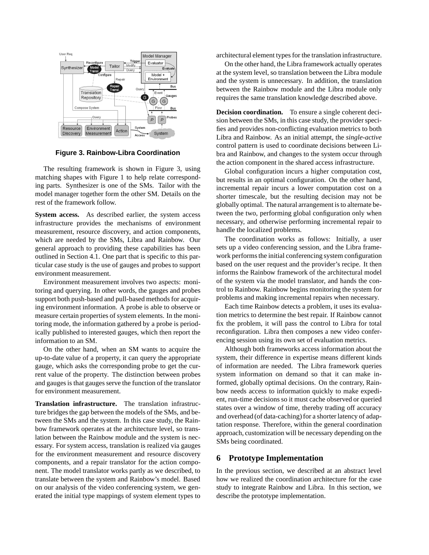

**Figure 3. Rainbow-Libra Coordination**

The resulting framework is shown in Figure 3, using matching shapes with Figure 1 to help relate corresponding parts. Synthesizer is one of the SMs. Tailor with the model manager together form the other SM. Details on the rest of the framework follow.

**System access.** As described earlier, the system access infrastructure provides the mechanisms of environment measurement, resource discovery, and action components, which are needed by the SMs, Libra and Rainbow. Our general approach to providing these capabilities has been outlined in Section 4.1. One part that is specific to this particular case study is the use of gauges and probes to support environment measurement.

Environment measurement involves two aspects: monitoring and querying. In other words, the gauges and probes support both push-based and pull-based methods for acquiring environment information. A probe is able to observe or measure certain properties of system elements. In the monitoring mode, the information gathered by a probe is periodically published to interested gauges, which then report the information to an SM.

On the other hand, when an SM wants to acquire the up-to-date value of a property, it can query the appropriate gauge, which asks the corresponding probe to get the current value of the property. The distinction between probes and gauges is that gauges serve the function of the translator for environment measurement.

**Translation infrastructure.** The translation infrastructure bridges the gap between the models of the SMs, and between the SMs and the system. In this case study, the Rainbow framework operates at the architecture level, so translation between the Rainbow module and the system is necessary. For system access, translation is realized via gauges for the environment measurement and resource discovery components, and a repair translator for the action component. The model translator works partly as we described, to translate between the system and Rainbow's model. Based on our analysis of the video conferencing system, we generated the initial type mappings of system element types to architectural element typesfor the translation infrastructure.

On the other hand, the Libra framework actually operates at the system level, so translation between the Libra module and the system is unnecessary. In addition, the translation between the Rainbow module and the Libra module only requires the same translation knowledge described above.

**Decision coordination.** To ensure a single coherent decision between the SMs, in this case study, the provider speci-fies and provides non-conflicting evaluation metrics to both Libra and Rainbow. As an initial attempt, the *single-active* control pattern is used to coordinate decisions between Libra and Rainbow, and changes to the system occur through the action component in the shared access infrastructure.

Global configuration incurs a higher computation cost, but results in an optimal configuration. On the other hand, incremental repair incurs a lower computation cost on a shorter timescale, but the resulting decision may not be globally optimal. The natural arrangement is to alternate between the two, performing global configuration only when necessary, and otherwise performing incremental repair to handle the localized problems.

The coordination works as follows: Initially, a user sets up a video conferencing session, and the Libra framework performs the initial conferencing system configuration based on the user request and the provider's recipe. It then informs the Rainbow framework of the architectural model of the system via the model translator, and hands the control to Rainbow. Rainbow begins monitoring the system for problems and making incremental repairs when necessary.

Each time Rainbow detects a problem, it uses its evaluation metrics to determine the best repair. If Rainbow cannot fix the problem, it will pass the control to Libra for total reconfiguration. Libra then composes a new video conferencing session using its own set of evaluation metrics.

Although both frameworks access information about the system, their difference in expertise means different kinds of information are needed. The Libra framework queries system information on demand so that it can make informed, globally optimal decisions. On the contrary, Rainbow needs access to information quickly to make expedient, run-time decisions so it must cache observed or queried states over a window of time, thereby trading off accuracy and overhead (of data-caching) for a shorter latency of adaptation response. Therefore, within the general coordination approach, customization will be necessary depending on the SMs being coordinated.

# **6 Prototype Implementation**

In the previous section, we described at an abstract level how we realized the coordination architecture for the case study to integrate Rainbow and Libra. In this section, we describe the prototype implementation.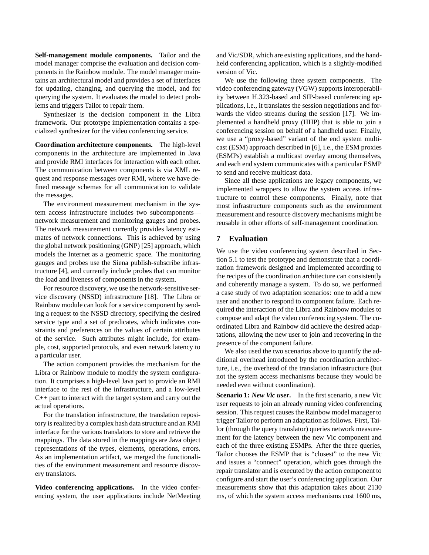**Self-management module components.** Tailor and the model manager comprise the evaluation and decision components in the Rainbow module. The model manager maintains an architectural model and provides a set of interfaces for updating, changing, and querying the model, and for querying the system. It evaluates the model to detect problems and triggers Tailor to repair them.

Synthesizer is the decision component in the Libra framework. Our prototype implementation contains a specialized synthesizer for the video conferencing service.

**Coordination architecture components.** The high-level components in the architecture are implemented in Java and provide RMI interfaces for interaction with each other. The communication between components is via XML request and response messages over RMI, where we have defined message schemas for all communication to validate the messages.

The environment measurement mechanism in the system access infrastructure includes two subcomponents network measurement and monitoring gauges and probes. The network measurement currently provides latency estimates of network connections. This is achieved by using the global network positioning (GNP) [25] approach, which models the Internet as a geometric space. The monitoring gauges and probes use the Siena publish-subscribe infrastructure [4], and currently include probes that can monitor the load and liveness of components in the system.

For resource discovery, we use the network-sensitive service discovery (NSSD) infrastructure [18]. The Libra or Rainbow module can look for a service component by sending a request to the NSSD directory, specifying the desired service type and a set of predicates, which indicates constraints and preferences on the values of certain attributes of the service. Such attributes might include, for example, cost, supported protocols, and even network latency to a particular user.

The action component provides the mechanism for the Libra or Rainbow module to modify the system configuration. It comprises a high-level Java part to provide an RMI interface to the rest of the infrastructure, and a low-level C++ part to interact with the target system and carry out the actual operations.

For the translation infrastructure, the translation repository is realized by a complex hash data structure and an RMI interface for the various translators to store and retrieve the mappings. The data stored in the mappings are Java object representations of the types, elements, operations, errors. As an implementation artifact, we merged the functionalities of the environment measurement and resource discovery translators.

**Video conferencing applications.** In the video conferencing system, the user applications include NetMeeting and Vic/SDR, which are existing applications, and the handheld conferencing application, which is a slightly-modified version of Vic.

We use the following three system components. The video conferencing gateway (VGW) supports interoperability between H.323-based and SIP-based conferencing applications, i.e., it translates the session negotiations and forwards the video streams during the session [17]. We implemented a handheld proxy (HHP) that is able to join a conferencing session on behalf of a handheld user. Finally, we use a "proxy-based" variant of the end system multicast (ESM) approach described in [6], i.e., the ESM proxies (ESMPs) establish a multicast overlay among themselves, and each end system communicates with a particular ESMP to send and receive multicast data.

Since all these applications are legacy components, we implemented wrappers to allow the system access infrastructure to control these components. Finally, note that most infrastructure components such as the environment measurement and resource discovery mechanisms might be reusable in other efforts of self-management coordination.

# **7 Evaluation**

We use the video conferencing system described in Section 5.1 to test the prototype and demonstrate that a coordination framework designed and implemented according to the recipes of the coordination architecture can consistently and coherently manage a system. To do so, we performed a case study of two adaptation scenarios: one to add a new user and another to respond to component failure. Each required the interaction of the Libra and Rainbow modules to compose and adapt the video conferencing system. The coordinated Libra and Rainbow did achieve the desired adaptations, allowing the new user to join and recovering in the presence of the component failure.

We also used the two scenarios above to quantify the additional overhead introduced by the coordination architecture, i.e., the overhead of the translation infrastructure (but not the system access mechanisms because they would be needed even without coordination).

**Scenario 1:** *New Vic user***.** In the first scenario, a new Vic user requests to join an already running video conferencing session. This request causes the Rainbow model manager to trigger Tailor to perform an adaptation as follows. First, Tailor (through the query translator) queries network measurement for the latency between the new Vic component and each of the three existing ESMPs. After the three queries, Tailor chooses the ESMP that is "closest" to the new Vic and issues a "connect" operation, which goes through the repair translator and is executed by the action component to configure and start the user's conferencing application. Our measurements show that this adaptation takes about 2130 ms, of which the system access mechanisms cost 1600 ms,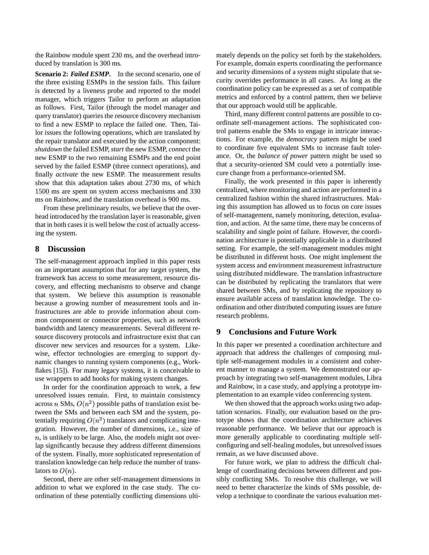the Rainbow module spent 230 ms, and the overhead introduced by translation is 300 ms.

**Scenario 2:** *Failed ESMP***.** In the second scenario, one of the three existing ESMPs in the session fails. This failure is detected by a liveness probe and reported to the model manager, which triggers Tailor to perform an adaptation as follows. First, Tailor (through the model manager and query translator) queries the resource discovery mechanism to find a new ESMP to replace the failed one. Then, Tailor issues the following operations, which are translated by the repair translator and executed by the action component: *shutdown* the failed ESMP, *start* the new ESMP, *connect* the new ESMP to the two remaining ESMPs and the end point served by the failed ESMP (three connect operations), and finally *activate* the new ESMP. The measurement results show that this adaptation takes about 2730 ms, of which 1500 ms are spent on system access mechanisms and 330 ms on Rainbow, and the translation overhead is 900 ms.

From these preliminary results, we believe that the overhead introduced by the translation layer is reasonable, given that in both cases it is well below the cost of actually accessing the system.

### **8 Discussion**

The self-management approach implied in this paper rests on an important assumption that for any target system, the framework has access to some measurement, resource discovery, and effecting mechanisms to observe and change that system. We believe this assumption is reasonable because a growing number of measurement tools and infrastructures are able to provide information about common component or connector properties, such as network bandwidth and latency measurements. Several different resource discovery protocols and infrastructure exist that can discover new services and resources for a system. Likewise, effector technologies are emerging to support dynamic changes to running system components (e.g., Workflakes [15]). For many legacy systems, it is conceivable to use wrappers to add hooks for making system changes.

In order for the coordination approach to work, a few unresolved issues remain. First, to maintain consistency across *n* SMs,  $O(n^2)$  possible paths of translation exist between the SMs and between each SM and the system, potentially requiring  $O(n^2)$  translators and complicating integration. However, the number of dimensions, i.e., size of  $n$ , is unlikely to be large. Also, the models might not overlap significantly because they address different dimensions of the system. Finally, more sophisticated representation of translation knowledge can help reduce the number of translators to  $O(n)$ .

Second, there are other self-management dimensions in addition to what we explored in the case study. The coordination of these potentially conflicting dimensions ultimately depends on the policy set forth by the stakeholders. For example, domain experts coordinating the performance and security dimensions of a system might stipulate that security overrides performance in all cases. As long as the coordination policy can be expressed as a set of compatible metrics and enforced by a control pattern, then we believe that our approach would still be applicable.

Third, many different control patterns are possible to coordinate self-management actions. The sophisticated control patterns enable the SMs to engage in intricate interactions. For example, the *democracy* pattern might be used to coordinate five equivalent SMs to increase fault tolerance. Or, the *balance of power* pattern might be used so that a security-oriented SM could veto a potentially insecure change from a performance-oriented SM.

Finally, the work presented in this paper is inherently centralized, where monitoring and action are performed in a centralized fashion within the shared infrastructures. Making this assumption has allowed us to focus on core issues of self-management, namely monitoring, detection, evaluation, and action. At the same time, there may be concerns of scalability and single point of failure. However, the coordination architecture is potentially applicable in a distributed setting. For example, the self-management modules might be distributed in different hosts. One might implement the system access and environment measurement infrastructure using distributed middleware. The translation infrastructure can be distributed by replicating the translators that were shared between SMs, and by replicating the repository to ensure available access of translation knowledge. The coordination and other distributed computing issues are future research problems.

## **9 Conclusions and Future Work**

In this paper we presented a coordination architecture and approach that address the challenges of composing multiple self-management modules in a consistent and coherent manner to manage a system. We demonstrated our approach by integrating two self-management modules, Libra and Rainbow, in a case study, and applying a prototype implementation to an example video conferencing system.

We then showed that the approach works using two adaptation scenarios. Finally, our evaluation based on the prototype shows that the coordination architecture achieves reasonable performance. We believe that our approach is more generally applicable to coordinating multiple selfconfiguring and self-healing modules, but unresolved issues remain, as we have discussed above.

For future work, we plan to address the difficult challenge of coordinating decisions between different and possibly conflicting SMs. To resolve this challenge, we will need to better characterize the kinds of SMs possible, develop a technique to coordinate the various evaluation met